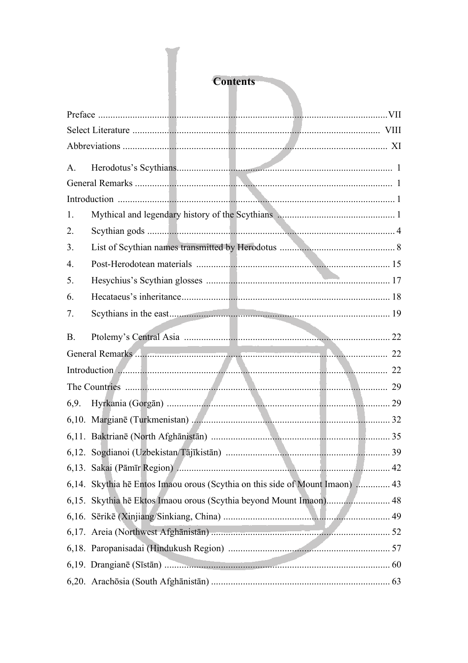## **Contents**

| $A_{\cdot}$     |                                                                                                                                                                                                                                      |  |
|-----------------|--------------------------------------------------------------------------------------------------------------------------------------------------------------------------------------------------------------------------------------|--|
|                 |                                                                                                                                                                                                                                      |  |
|                 |                                                                                                                                                                                                                                      |  |
| 1.              |                                                                                                                                                                                                                                      |  |
| 2.              |                                                                                                                                                                                                                                      |  |
| 3.              |                                                                                                                                                                                                                                      |  |
| 4.              |                                                                                                                                                                                                                                      |  |
| 5.              |                                                                                                                                                                                                                                      |  |
| 6.              |                                                                                                                                                                                                                                      |  |
| 7.              |                                                                                                                                                                                                                                      |  |
| <b>B.</b>       |                                                                                                                                                                                                                                      |  |
|                 | General Remarks                                                                                                                                                                                                                      |  |
| Introduction 22 |                                                                                                                                                                                                                                      |  |
|                 |                                                                                                                                                                                                                                      |  |
| 6,9.            |                                                                                                                                                                                                                                      |  |
|                 |                                                                                                                                                                                                                                      |  |
|                 |                                                                                                                                                                                                                                      |  |
|                 |                                                                                                                                                                                                                                      |  |
|                 |                                                                                                                                                                                                                                      |  |
|                 | 6,14. Skythia hē Entos Imaou orous (Scythia on this side of Mount Imaon)  43                                                                                                                                                         |  |
|                 | 6,15. Skythia hē Ektos Imaou orous (Scythia beyond Mount Imaon) 48                                                                                                                                                                   |  |
|                 |                                                                                                                                                                                                                                      |  |
|                 |                                                                                                                                                                                                                                      |  |
|                 |                                                                                                                                                                                                                                      |  |
|                 | 6,19. Drangianē (Sīstān) <b>Martin Martin Martin Martin Martin Martin Martin Martin Martin Martin Martin Martin Martin Martin Martin Martin Martin Martin Martin Martin Martin Martin Martin Martin Martin Martin Martin Martin </b> |  |
|                 |                                                                                                                                                                                                                                      |  |